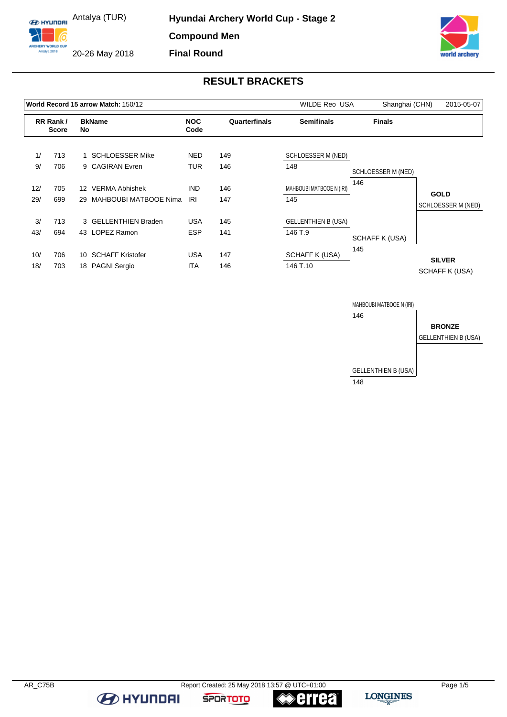ARCHERY WORLD CUF

20-26 May 2018



# **RESULT BRACKETS**

|     |                          |                 | World Record 15 arrow Match: 150/12 | <b>WILDE Reo USA</b> | Shanghai (CHN) | 2015-05-07                 |                    |                                 |
|-----|--------------------------|-----------------|-------------------------------------|----------------------|----------------|----------------------------|--------------------|---------------------------------|
|     | RR Rank/<br><b>Score</b> |                 | <b>BkName</b><br>No                 |                      | Quarterfinals  | <b>Semifinals</b>          | <b>Finals</b>      |                                 |
| 1/  | 713                      | 1               | <b>SCHLOESSER Mike</b>              | NED.                 | 149            | SCHLOESSER M (NED)         |                    |                                 |
| 9/  | 706                      |                 | 9 CAGIRAN Evren                     | TUR                  | 146            | 148                        | SCHLOESSER M (NED) |                                 |
| 12/ | 705                      | 12 <sup>°</sup> | <b>VERMA Abhishek</b>               | <b>IND</b>           | 146            | MAHBOUBI MATBOOE N (IRI)   | 146                | <b>GOLD</b>                     |
| 29/ | 699                      | 29              | MAHBOUBI MATBOOE Nima               | IRI                  | 147            | 145                        |                    | SCHLOESSER M (NED)              |
| 3/  | 713                      |                 | 3 GELLENTHIEN Braden                | <b>USA</b>           | 145            | <b>GELLENTHIEN B (USA)</b> |                    |                                 |
| 43/ | 694                      |                 | 43 LOPEZ Ramon                      | <b>ESP</b>           | 141            | 146 T.9                    | SCHAFF K (USA)     |                                 |
| 10/ | 706                      | 10              | <b>SCHAFF Kristofer</b>             | <b>USA</b>           | 147            | <b>SCHAFF K (USA)</b>      | 145                |                                 |
| 18/ | 703                      |                 | 18 PAGNI Sergio                     | <b>ITA</b>           | 146            | 146 T.10                   |                    | <b>SILVER</b><br>SCHAFF K (USA) |



**EXPLAYMENT** 

**SPORTOTO** 

**errea**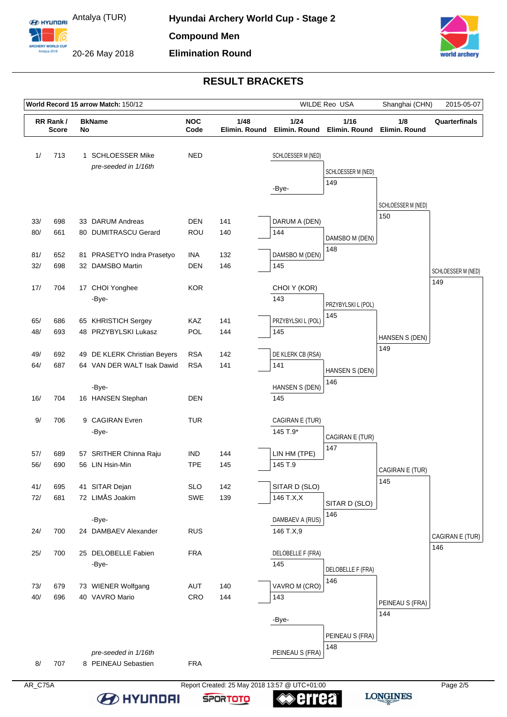ARCHERY WORLD CUF

20-26 May 2018



# **RESULT BRACKETS**

|     |                                |  | World Record 15 arrow Match: 150/12                          |            |                       |                       | WILDE Reo USA            | Shanghai (CHN)     | 2015-05-07         |
|-----|--------------------------------|--|--------------------------------------------------------------|------------|-----------------------|-----------------------|--------------------------|--------------------|--------------------|
|     | RR Rank/<br><b>Score</b><br>No |  | <b>NOC</b><br>1/48<br><b>BkName</b><br>Code<br>Elimin. Round |            | 1/24<br>Elimin, Round | 1/16<br>Elimin. Round | 1/8<br>Elimin. Round     | Quarterfinals      |                    |
| 1/  | 713                            |  | 1 SCHLOESSER Mike<br>pre-seeded in 1/16th                    | <b>NED</b> |                       | SCHLOESSER M (NED)    | SCHLOESSER M (NED)       |                    |                    |
|     |                                |  |                                                              |            |                       | -Bye-                 | 149                      |                    |                    |
|     |                                |  |                                                              |            |                       |                       |                          | SCHLOESSER M (NED) |                    |
| 33/ | 698                            |  | 33 DARUM Andreas                                             | <b>DEN</b> | 141                   | DARUM A (DEN)         |                          | 150                |                    |
| 80/ | 661                            |  | 80 DUMITRASCU Gerard                                         | <b>ROU</b> | 140                   | 144                   | DAMSBO M (DEN)           |                    |                    |
|     |                                |  |                                                              |            |                       |                       | 148                      |                    |                    |
| 81/ | 652                            |  | 81 PRASETYO Indra Prasetyo                                   | <b>INA</b> | 132                   | DAMSBO M (DEN)        |                          |                    |                    |
| 32/ | 698                            |  | 32 DAMSBO Martin                                             | <b>DEN</b> | 146                   | 145                   |                          |                    | SCHLOESSER M (NED) |
| 17/ | 704                            |  | 17 CHOI Yonghee                                              | <b>KOR</b> |                       | CHOI Y (KOR)          |                          |                    | 149                |
|     |                                |  | -Bye-                                                        |            |                       | 143                   | PRZYBYLSKI L (POL)       |                    |                    |
|     |                                |  |                                                              |            |                       |                       | 145                      |                    |                    |
| 65/ | 686                            |  | 65 KHRISTICH Sergey                                          | <b>KAZ</b> | 141                   | PRZYBYLSKI L (POL)    |                          |                    |                    |
| 48/ | 693                            |  | 48 PRZYBYLSKI Lukasz                                         | POL        | 144                   | 145                   |                          | HANSEN S (DEN)     |                    |
| 49/ | 692                            |  | 49 DE KLERK Christian Beyers                                 | <b>RSA</b> | 142                   | DE KLERK CB (RSA)     |                          | 149                |                    |
| 64/ | 687                            |  | 64 VAN DER WALT Isak Dawid                                   | <b>RSA</b> | 141                   | 141                   | HANSEN S (DEN)           |                    |                    |
|     |                                |  |                                                              |            |                       |                       | 146                      |                    |                    |
|     |                                |  | -Bye-                                                        |            |                       | HANSEN S (DEN)        |                          |                    |                    |
| 16/ | 704                            |  | 16 HANSEN Stephan                                            | <b>DEN</b> |                       | 145                   |                          |                    |                    |
| 9/  | 706                            |  | 9 CAGIRAN Evren                                              | <b>TUR</b> |                       | CAGIRAN E (TUR)       |                          |                    |                    |
|     |                                |  | -Bye-                                                        |            |                       | 145 T.9*              | CAGIRAN E (TUR)          |                    |                    |
|     |                                |  |                                                              |            |                       |                       | 147                      |                    |                    |
| 57/ | 689                            |  | 57 SRITHER Chinna Raju                                       | <b>IND</b> | 144                   | LIN HM (TPE)          |                          |                    |                    |
| 56/ | 690                            |  | 56 LIN Hsin-Min                                              | <b>TPE</b> | 145                   | 145 T.9               |                          | CAGIRAN E (TUR)    |                    |
| 41/ | 695                            |  | 41 SITAR Dejan                                               | <b>SLO</b> | 142                   | SITAR D (SLO)         |                          | 145                |                    |
| 72/ | 681                            |  | 72 LIMÅS Joakim                                              | SWE        | 139                   | 146 T.X,X             | SITAR D (SLO)            |                    |                    |
|     |                                |  |                                                              |            |                       |                       | 146                      |                    |                    |
|     |                                |  | -Bye-                                                        |            |                       | DAMBAEV A (RUS)       |                          |                    |                    |
| 24/ | 700                            |  | 24 DAMBAEV Alexander                                         | <b>RUS</b> |                       | 146 T.X,9             |                          |                    | CAGIRAN E (TUR)    |
| 25/ | 700                            |  | 25 DELOBELLE Fabien                                          | <b>FRA</b> |                       | DELOBELLE F (FRA)     |                          |                    | 146                |
|     |                                |  | -Bye-                                                        |            |                       | 145                   |                          |                    |                    |
|     |                                |  |                                                              |            |                       |                       | DELOBELLE F (FRA)<br>146 |                    |                    |
| 73/ | 679                            |  | 73 WIENER Wolfgang                                           | AUT        | 140                   | VAVRO M (CRO)         |                          |                    |                    |
| 40/ | 696                            |  | 40 VAVRO Mario                                               | CRO        | 144                   | 143                   |                          | PEINEAU S (FRA)    |                    |
|     |                                |  |                                                              |            |                       | -Bye-                 |                          | 144                |                    |
|     |                                |  |                                                              |            |                       |                       |                          |                    |                    |
|     |                                |  |                                                              |            |                       |                       | PEINEAU S (FRA)<br>148   |                    |                    |
|     |                                |  | pre-seeded in 1/16th                                         |            |                       | PEINEAU S (FRA)       |                          |                    |                    |
| 8/  | 707                            |  | 8 PEINEAU Sebastien                                          | <b>FRA</b> |                       |                       |                          |                    |                    |

AR\_C75A Report Created: 25 May 2018 13:57 @ UTC+01:00 **B** HYUNDAI

**LONGINES** 



**errea**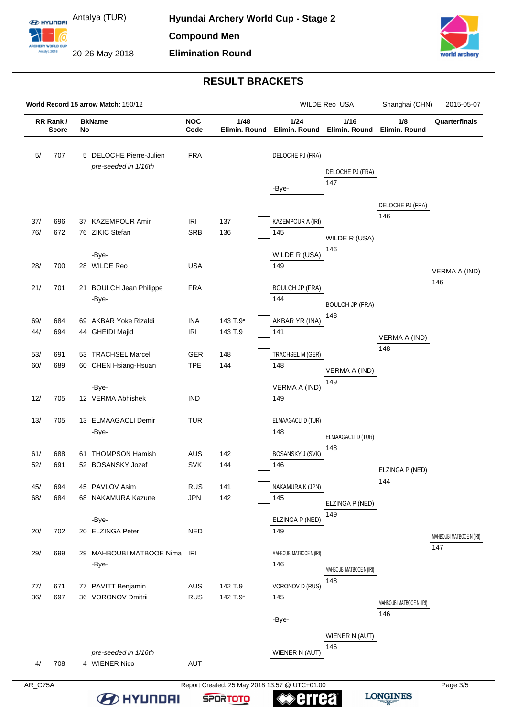ARCHERY WORLD CUF

20-26 May 2018



# **RESULT BRACKETS**

| World Record 15 arrow Match: 150/12 |                          |                                                   |                                                 |                          |                       |                                          | WILDE Reo USA                   | Shanghai (CHN)                  | 2015-05-07                      |
|-------------------------------------|--------------------------|---------------------------------------------------|-------------------------------------------------|--------------------------|-----------------------|------------------------------------------|---------------------------------|---------------------------------|---------------------------------|
|                                     | RR Rank/<br><b>Score</b> | <b>NOC</b><br>1/48<br><b>BkName</b><br>Code<br>No |                                                 | Elimin, Round            | 1/24<br>Elimin. Round | 1/16<br>Elimin. Round                    | 1/8<br>Elimin. Round            | Quarterfinals                   |                                 |
| 5/                                  | 707                      |                                                   | 5 DELOCHE Pierre-Julien<br>pre-seeded in 1/16th | <b>FRA</b>               |                       | DELOCHE PJ (FRA)<br>-Bye-                | DELOCHE PJ (FRA)<br>147         |                                 |                                 |
| 37/<br>76/                          | 696<br>672               |                                                   | 37 KAZEMPOUR Amir<br>76 ZIKIC Stefan            | IRI<br><b>SRB</b>        | 137                   | KAZEMPOUR A (IRI)                        |                                 | DELOCHE PJ (FRA)<br>146         |                                 |
| 28/                                 | 700                      |                                                   | -Bye-<br>28 WILDE Reo                           | <b>USA</b>               | 136                   | 145<br>WILDE R (USA)<br>149              | WILDE R (USA)<br>146            |                                 |                                 |
| 21/                                 | 701                      |                                                   | 21 BOULCH Jean Philippe<br>-Bye-                | <b>FRA</b>               |                       | <b>BOULCH JP (FRA)</b><br>144            | <b>BOULCH JP (FRA)</b>          |                                 | VERMA A (IND)<br>146            |
| 69/<br>44/                          | 684<br>694               |                                                   | 69 AKBAR Yoke Rizaldi<br>44 GHEIDI Majid        | <b>INA</b><br><b>IRI</b> | 143 T.9*<br>143 T.9   | AKBAR YR (INA)<br>141                    | 148                             | VERMA A (IND)<br>148            |                                 |
| 53/<br>60/                          | 691<br>689               |                                                   | 53 TRACHSEL Marcel<br>60 CHEN Hsiang-Hsuan      | <b>GER</b><br><b>TPE</b> | 148<br>144            | TRACHSEL M (GER)<br>148<br>VERMA A (IND) | VERMA A (IND)<br>149            |                                 |                                 |
| 12/                                 | 705                      |                                                   | -Bye-<br>12 VERMA Abhishek                      | <b>IND</b>               |                       | 149                                      |                                 |                                 |                                 |
| 13/                                 | 705                      |                                                   | 13 ELMAAGACLI Demir<br>-Bye-                    | <b>TUR</b>               |                       | ELMAAGACLI D (TUR)<br>148                | ELMAAGACLI D (TUR)<br>148       |                                 |                                 |
| 61/<br>52/                          | 688<br>691               |                                                   | 61 THOMPSON Hamish<br>52 BOSANSKY Jozef         | <b>AUS</b><br><b>SVK</b> | 142<br>144            | <b>BOSANSKY J (SVK)</b><br>146           |                                 | ELZINGA P (NED)                 |                                 |
| 45/<br>68/                          | 694<br>684               |                                                   | 45 PAVLOV Asim<br>68 NAKAMURA Kazune            | <b>RUS</b><br><b>JPN</b> | 141<br>142            | NAKAMURA K (JPN)<br>145                  | ELZINGA P (NED)<br>149          | 144                             |                                 |
| 20/                                 | 702                      |                                                   | -Bye-<br>20 ELZINGA Peter                       | <b>NED</b>               |                       | ELZINGA P (NED)<br>149                   |                                 |                                 | MAHBOUBI MATBOOE N (IRI)<br>147 |
| 29/                                 | 699                      |                                                   | 29 MAHBOUBI MATBOOE Nima IRI<br>-Bye-           |                          |                       | MAHBOUBI MATBOOE N (IRI)<br>146          | MAHBOUBI MATBOOE N (IRI)<br>148 |                                 |                                 |
| 77/<br>36/                          | 671<br>697               |                                                   | 77 PAVITT Benjamin<br>36 VORONOV Dmitrii        | <b>AUS</b><br><b>RUS</b> | 142 T.9<br>142 T.9*   | VORONOV D (RUS)<br>145<br>-Bye-          |                                 | MAHBOUBI MATBOOE N (IRI)<br>146 |                                 |
| 4/                                  | 708                      |                                                   | pre-seeded in 1/16th<br>4 WIENER Nico           | AUT                      |                       | WIENER N (AUT)                           | WIENER N (AUT)<br>146           |                                 |                                 |

AR\_C75A Report Created: 25 May 2018 13:57 @ UTC+01:00 **B** HYUNDAI **errea SPORTOTO**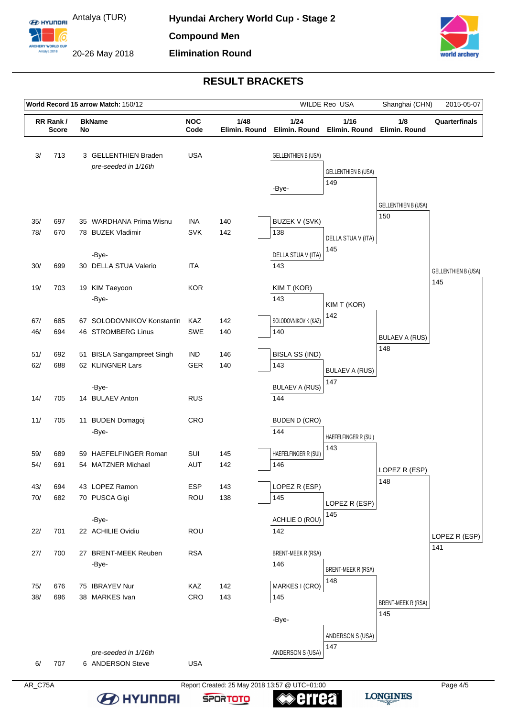ARCHERY WORLD CUF

20-26 May 2018



# **RESULT BRACKETS**

|            | World Record 15 arrow Match: 150/12             |  |                                              |                       |                       |                             | WILDE Reo USA              | Shanghai (CHN)               | 2015-05-07                        |
|------------|-------------------------------------------------|--|----------------------------------------------|-----------------------|-----------------------|-----------------------------|----------------------------|------------------------------|-----------------------------------|
|            | RR Rank/<br><b>BkName</b><br><b>Score</b><br>No |  | <b>NOC</b><br>Code                           | 1/48<br>Elimin. Round | 1/24<br>Elimin. Round | 1/16<br>Elimin. Round       | 1/8<br>Elimin. Round       | Quarterfinals                |                                   |
| 3/         | 713                                             |  | 3 GELLENTHIEN Braden<br>pre-seeded in 1/16th | <b>USA</b>            |                       | <b>GELLENTHIEN B (USA)</b>  | <b>GELLENTHIEN B (USA)</b> |                              |                                   |
|            |                                                 |  |                                              |                       |                       | -Bye-                       | 149                        |                              |                                   |
|            |                                                 |  |                                              |                       |                       |                             |                            | <b>GELLENTHIEN B (USA)</b>   |                                   |
| 35/        | 697                                             |  | 35 WARDHANA Prima Wisnu                      | INA                   | 140                   | BUZEK V (SVK)               |                            | 150                          |                                   |
| 78/        | 670                                             |  | 78 BUZEK Vladimir                            | <b>SVK</b>            | 142                   | 138                         | DELLA STUA V (ITA)         |                              |                                   |
|            |                                                 |  | -Bye-                                        |                       |                       | DELLA STUA V (ITA)          | 145                        |                              |                                   |
| 30/        | 699                                             |  | 30 DELLA STUA Valerio                        | <b>ITA</b>            |                       | 143                         |                            |                              |                                   |
|            |                                                 |  |                                              |                       |                       |                             |                            |                              | <b>GELLENTHIEN B (USA)</b><br>145 |
| 19/        | 703                                             |  | 19 KIM Taeyoon                               | <b>KOR</b>            |                       | KIM T (KOR)                 |                            |                              |                                   |
|            |                                                 |  | -Bye-                                        |                       |                       | 143                         | KIM T (KOR)                |                              |                                   |
| 67/        | 685                                             |  | 67 SOLODOVNIKOV Konstantin                   | KAZ                   | 142                   | SOLODOVNIKOV K (KAZ)        | 142                        |                              |                                   |
| 46/        | 694                                             |  | 46 STROMBERG Linus                           | SWE                   | 140                   | 140                         |                            |                              |                                   |
|            |                                                 |  |                                              |                       |                       |                             |                            | <b>BULAEV A (RUS)</b><br>148 |                                   |
| 51/        | 692                                             |  | 51 BISLA Sangampreet Singh                   | <b>IND</b>            | 146                   | <b>BISLA SS (IND)</b>       |                            |                              |                                   |
| 62/        | 688                                             |  | 62 KLINGNER Lars                             | <b>GER</b>            | 140                   | 143                         | <b>BULAEV A (RUS)</b>      |                              |                                   |
|            |                                                 |  | -Bye-                                        |                       |                       | <b>BULAEV A (RUS)</b>       | 147                        |                              |                                   |
| 14/        | 705                                             |  | 14 BULAEV Anton                              | <b>RUS</b>            |                       | 144                         |                            |                              |                                   |
| 11/        | 705                                             |  | 11 BUDEN Domagoj                             | CRO                   |                       | <b>BUDEN D (CRO)</b>        |                            |                              |                                   |
|            |                                                 |  | -Bye-                                        |                       |                       | 144                         | HAEFELFINGER R (SUI)       |                              |                                   |
|            |                                                 |  |                                              |                       |                       |                             | 143                        |                              |                                   |
| 59/<br>54/ | 689<br>691                                      |  | 59 HAEFELFINGER Roman<br>54 MATZNER Michael  | SUI<br>AUT            | 145<br>142            | HAEFELFINGER R (SUI)<br>146 |                            |                              |                                   |
|            |                                                 |  |                                              |                       |                       |                             |                            | LOPEZ R (ESP)                |                                   |
| 43/        | 694                                             |  | 43 LOPEZ Ramon                               | <b>ESP</b>            | 143                   | LOPEZ R (ESP)               |                            | 148                          |                                   |
| 70/        | 682                                             |  | 70 PUSCA Gigi                                | ROU                   | 138                   | 145                         | LOPEZ R (ESP)              |                              |                                   |
|            |                                                 |  |                                              |                       |                       | ACHILIE O (ROU)             | 145                        |                              |                                   |
| 22/        | 701                                             |  | -Bye-<br>22 ACHILIE Ovidiu                   | <b>ROU</b>            |                       | 142                         |                            |                              |                                   |
|            |                                                 |  |                                              |                       |                       |                             |                            |                              | LOPEZ R (ESP)                     |
| 27/        | 700                                             |  | 27 BRENT-MEEK Reuben                         | <b>RSA</b>            |                       | BRENT-MEEK R (RSA)          |                            |                              | 141                               |
|            |                                                 |  | -Bye-                                        |                       |                       | 146                         | BRENT-MEEK R (RSA)         |                              |                                   |
| 75/        | 676                                             |  | 75 IBRAYEV Nur                               | KAZ                   | 142                   | MARKES I (CRO)              | 148                        |                              |                                   |
| 38/        | 696                                             |  | 38 MARKES Ivan                               | CRO                   | 143                   | 145                         |                            |                              |                                   |
|            |                                                 |  |                                              |                       |                       |                             |                            | BRENT-MEEK R (RSA)<br>145    |                                   |
|            |                                                 |  |                                              |                       |                       | -Bye-                       |                            |                              |                                   |
|            |                                                 |  |                                              |                       |                       |                             | ANDERSON S (USA)           |                              |                                   |
|            |                                                 |  | pre-seeded in 1/16th                         |                       |                       | ANDERSON S (USA)            | 147                        |                              |                                   |
| 6/         | 707                                             |  | 6 ANDERSON Steve                             | <b>USA</b>            |                       |                             |                            |                              |                                   |
|            |                                                 |  |                                              |                       |                       |                             |                            |                              |                                   |

AR\_C75A Report Created: 25 May 2018 13:57 @ UTC+01:00 Page 4/5 **B** HYUNDAI **errea** 

**SPORTOTO**